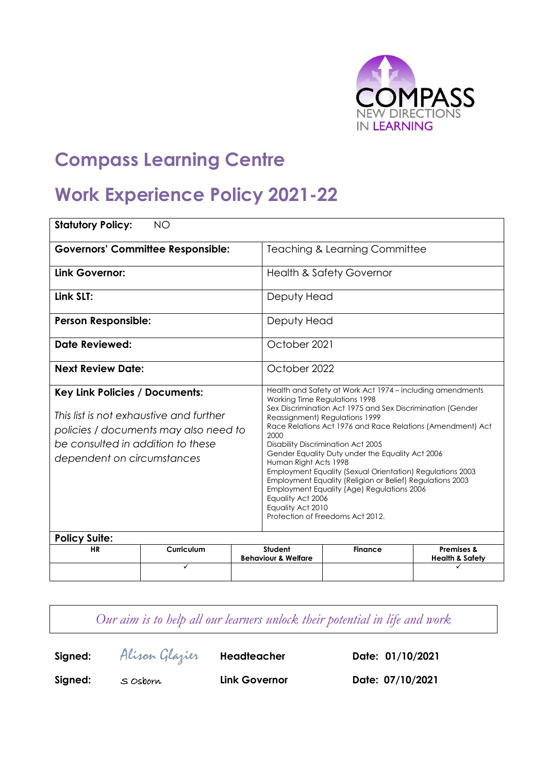

# **Compass Learning Centre**

# **Work Experience Policy 2021-22**

| <b>Statutory Policy:</b><br><b>NO</b>                                                                                                                                                        |            |                                                                                                                                                                                                                                                                                                                                                                                                                                                                                                                                                                                                                                                         |                                                             |  |                                                     |  |  |
|----------------------------------------------------------------------------------------------------------------------------------------------------------------------------------------------|------------|---------------------------------------------------------------------------------------------------------------------------------------------------------------------------------------------------------------------------------------------------------------------------------------------------------------------------------------------------------------------------------------------------------------------------------------------------------------------------------------------------------------------------------------------------------------------------------------------------------------------------------------------------------|-------------------------------------------------------------|--|-----------------------------------------------------|--|--|
| <b>Governors' Committee Responsible:</b>                                                                                                                                                     |            |                                                                                                                                                                                                                                                                                                                                                                                                                                                                                                                                                                                                                                                         | <b>Teaching &amp; Learning Committee</b>                    |  |                                                     |  |  |
| Link Governor:                                                                                                                                                                               |            |                                                                                                                                                                                                                                                                                                                                                                                                                                                                                                                                                                                                                                                         | <b>Health &amp; Safety Governor</b>                         |  |                                                     |  |  |
| Link SLT:                                                                                                                                                                                    |            |                                                                                                                                                                                                                                                                                                                                                                                                                                                                                                                                                                                                                                                         | Deputy Head                                                 |  |                                                     |  |  |
| <b>Person Responsible:</b>                                                                                                                                                                   |            |                                                                                                                                                                                                                                                                                                                                                                                                                                                                                                                                                                                                                                                         | Deputy Head                                                 |  |                                                     |  |  |
| Date Reviewed:                                                                                                                                                                               |            |                                                                                                                                                                                                                                                                                                                                                                                                                                                                                                                                                                                                                                                         | October 2021                                                |  |                                                     |  |  |
| <b>Next Review Date:</b>                                                                                                                                                                     |            |                                                                                                                                                                                                                                                                                                                                                                                                                                                                                                                                                                                                                                                         | October 2022                                                |  |                                                     |  |  |
| <b>Key Link Policies / Documents:</b><br>This list is not exhaustive and further<br>policies / documents may also need to<br>be consulted in addition to these<br>dependent on circumstances |            | Health and Safety at Work Act 1974 - including amendments<br>Working Time Regulations 1998<br>Sex Discrimination Act 1975 and Sex Discrimination (Gender<br>Reassignment) Regulations 1999<br>Race Relations Act 1976 and Race Relations (Amendment) Act<br>2000<br><b>Disability Discrimination Act 2005</b><br>Gender Equality Duty under the Equality Act 2006<br>Human Right Acts 1998<br>Employment Equality (Sexual Orientation) Regulations 2003<br>Employment Equality (Religion or Belief) Regulations 2003<br><b>Employment Equality (Age) Regulations 2006</b><br>Equality Act 2006<br>Equality Act 2010<br>Protection of Freedoms Act 2012. |                                                             |  |                                                     |  |  |
| <b>Policy Suite:</b>                                                                                                                                                                         |            |                                                                                                                                                                                                                                                                                                                                                                                                                                                                                                                                                                                                                                                         |                                                             |  |                                                     |  |  |
| <b>HR</b>                                                                                                                                                                                    | Curriculum |                                                                                                                                                                                                                                                                                                                                                                                                                                                                                                                                                                                                                                                         | Student<br><b>Finance</b><br><b>Behaviour &amp; Welfare</b> |  | <b>Premises &amp;</b><br><b>Health &amp; Safety</b> |  |  |
|                                                                                                                                                                                              | ✓          |                                                                                                                                                                                                                                                                                                                                                                                                                                                                                                                                                                                                                                                         |                                                             |  |                                                     |  |  |

*Our aim is to help all our learners unlock their potential in life and work* **Signed:** Alison Glazier **Headteacher Date: 01/10/2021 Signed:** S Osborn **Link Governor Date: 07/10/2021**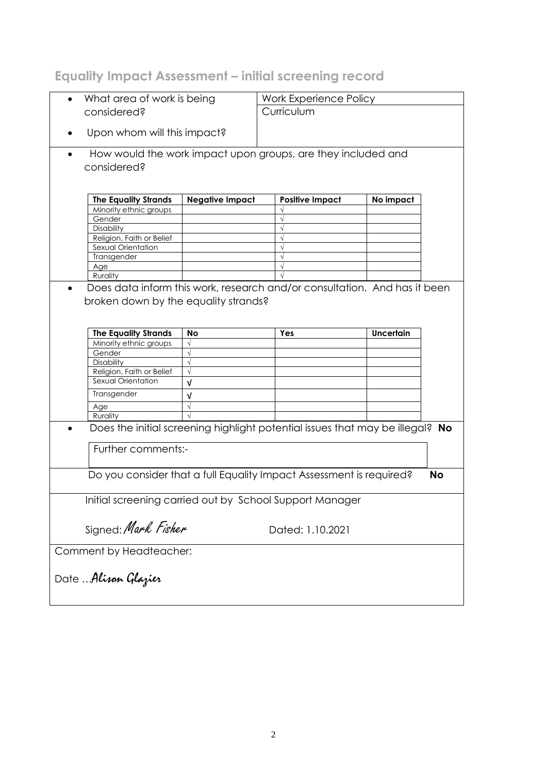# **Equality Impact Assessment – initial screening record**

| What area of work is being<br>$\bullet$                 |                        | Work Experience Policy                                                        |           |  |  |
|---------------------------------------------------------|------------------------|-------------------------------------------------------------------------------|-----------|--|--|
| considered?                                             |                        | Curriculum                                                                    |           |  |  |
|                                                         |                        |                                                                               |           |  |  |
| Upon whom will this impact?                             |                        |                                                                               |           |  |  |
|                                                         |                        |                                                                               |           |  |  |
| $\bullet$                                               |                        | How would the work impact upon groups, are they included and                  |           |  |  |
| considered?                                             |                        |                                                                               |           |  |  |
|                                                         |                        |                                                                               |           |  |  |
|                                                         |                        |                                                                               |           |  |  |
| <b>The Equality Strands</b>                             | <b>Negative Impact</b> | <b>Positive Impact</b>                                                        | No impact |  |  |
| Minority ethnic groups                                  |                        |                                                                               |           |  |  |
| Gender                                                  |                        | $\sqrt{}$                                                                     |           |  |  |
| Disability                                              |                        |                                                                               |           |  |  |
| Religion, Faith or Belief                               |                        |                                                                               |           |  |  |
| Sexual Orientation                                      |                        |                                                                               |           |  |  |
| Transgender                                             |                        |                                                                               |           |  |  |
| Age                                                     |                        |                                                                               |           |  |  |
| Rurality                                                |                        |                                                                               |           |  |  |
|                                                         |                        | Does data inform this work, research and/or consultation. And has it been     |           |  |  |
| broken down by the equality strands?                    |                        |                                                                               |           |  |  |
|                                                         |                        |                                                                               |           |  |  |
|                                                         |                        |                                                                               |           |  |  |
|                                                         |                        |                                                                               |           |  |  |
| <b>The Equality Strands</b>                             | No                     | Yes                                                                           | Uncertain |  |  |
| Minority ethnic groups                                  | $\sqrt{}$              |                                                                               |           |  |  |
| Gender                                                  | $\sqrt{ }$             |                                                                               |           |  |  |
| Disability                                              | $\sqrt{}$              |                                                                               |           |  |  |
| Religion, Faith or Belief                               | $\sqrt{}$              |                                                                               |           |  |  |
| Sexual Orientation                                      | $\sqrt{ }$             |                                                                               |           |  |  |
| Transgender                                             | v                      |                                                                               |           |  |  |
| Age                                                     |                        |                                                                               |           |  |  |
| Rurality                                                |                        |                                                                               |           |  |  |
|                                                         |                        | Does the initial screening highlight potential issues that may be illegal? No |           |  |  |
|                                                         |                        |                                                                               |           |  |  |
| Further comments:-                                      |                        |                                                                               |           |  |  |
|                                                         |                        |                                                                               |           |  |  |
|                                                         |                        |                                                                               |           |  |  |
|                                                         |                        | Do you consider that a full Equality Impact Assessment is required?           | <b>No</b> |  |  |
|                                                         |                        |                                                                               |           |  |  |
|                                                         |                        |                                                                               |           |  |  |
| Initial screening carried out by School Support Manager |                        |                                                                               |           |  |  |
|                                                         |                        |                                                                               |           |  |  |
| Signed: Mark Fisher                                     |                        |                                                                               |           |  |  |
| Dated: 1.10.2021                                        |                        |                                                                               |           |  |  |
|                                                         |                        |                                                                               |           |  |  |
| Comment by Headteacher:                                 |                        |                                                                               |           |  |  |
|                                                         |                        |                                                                               |           |  |  |
|                                                         |                        |                                                                               |           |  |  |
| Date Alisan Glazier                                     |                        |                                                                               |           |  |  |
|                                                         |                        |                                                                               |           |  |  |
|                                                         |                        |                                                                               |           |  |  |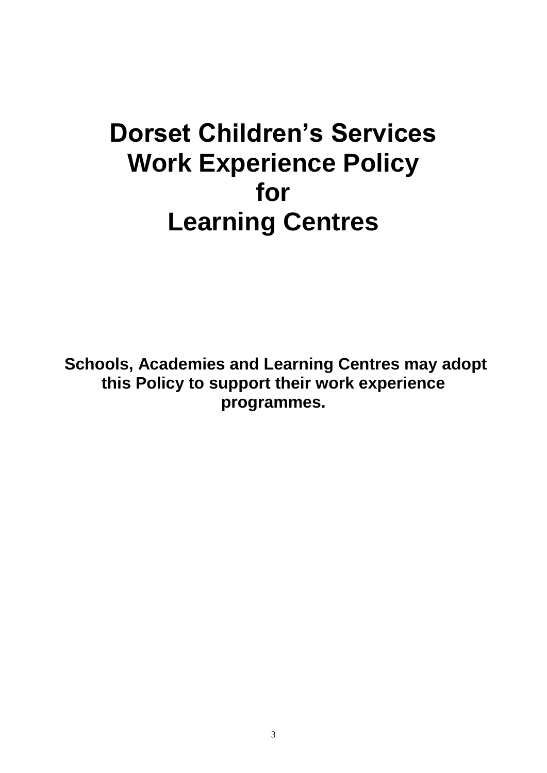# **Dorset Children's Services Work Experience Policy for Learning Centres**

**Schools, Academies and Learning Centres may adopt this Policy to support their work experience programmes.**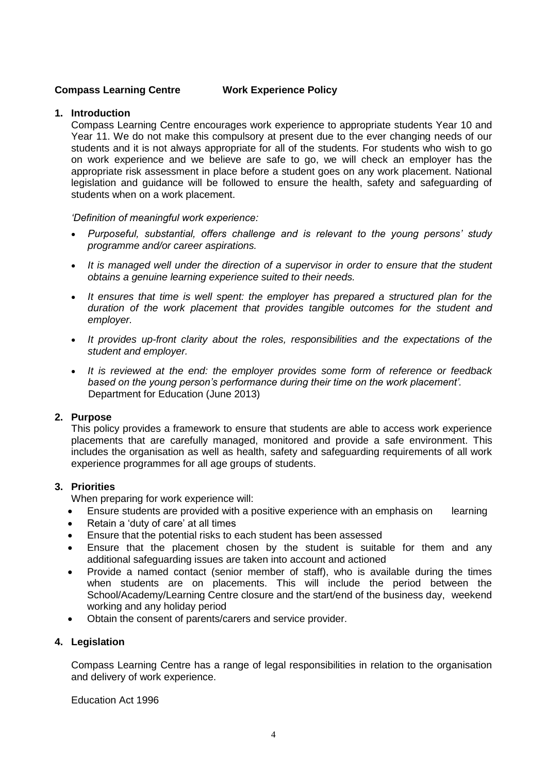#### **Compass Learning Centre Work Experience Policy**

#### **1. Introduction**

Compass Learning Centre encourages work experience to appropriate students Year 10 and Year 11. We do not make this compulsory at present due to the ever changing needs of our students and it is not always appropriate for all of the students. For students who wish to go on work experience and we believe are safe to go, we will check an employer has the appropriate risk assessment in place before a student goes on any work placement. National legislation and guidance will be followed to ensure the health, safety and safeguarding of students when on a work placement.

*'Definition of meaningful work experience:*

- *Purposeful, substantial, offers challenge and is relevant to the young persons' study programme and/or career aspirations.*
- It is managed well under the direction of a supervisor in order to ensure that the student *obtains a genuine learning experience suited to their needs.*
- *It ensures that time is well spent: the employer has prepared a structured plan for the duration of the work placement that provides tangible outcomes for the student and employer.*
- *It provides up-front clarity about the roles, responsibilities and the expectations of the student and employer.*
- *It is reviewed at the end: the employer provides some form of reference or feedback based on the young person's performance during their time on the work placement'.*  Department for Education (June 2013)

#### **2. Purpose**

This policy provides a framework to ensure that students are able to access work experience placements that are carefully managed, monitored and provide a safe environment. This includes the organisation as well as health, safety and safeguarding requirements of all work experience programmes for all age groups of students.

#### **3. Priorities**

When preparing for work experience will:

- Ensure students are provided with a positive experience with an emphasis on learning
- Retain a 'duty of care' at all times
- Ensure that the potential risks to each student has been assessed
- Ensure that the placement chosen by the student is suitable for them and any additional safeguarding issues are taken into account and actioned
- Provide a named contact (senior member of staff), who is available during the times when students are on placements. This will include the period between the School/Academy/Learning Centre closure and the start/end of the business day, weekend working and any holiday period
- Obtain the consent of parents/carers and service provider.

#### **4. Legislation**

Compass Learning Centre has a range of legal responsibilities in relation to the organisation and delivery of work experience.

Education Act 1996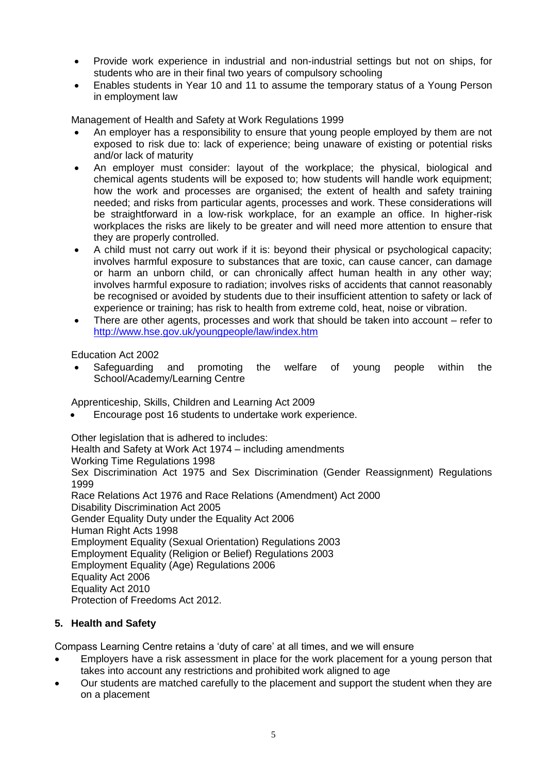- Provide work experience in industrial and non-industrial settings but not on ships, for students who are in their final two years of compulsory schooling
- Enables students in Year 10 and 11 to assume the temporary status of a Young Person in employment law

Management of Health and Safety at Work Regulations 1999

- An employer has a responsibility to ensure that young people employed by them are not exposed to risk due to: lack of experience; being unaware of existing or potential risks and/or lack of maturity
- An employer must consider: layout of the workplace; the physical, biological and chemical agents students will be exposed to; how students will handle work equipment; how the work and processes are organised; the extent of health and safety training needed; and risks from particular agents, processes and work. These considerations will be straightforward in a low-risk workplace, for an example an office. In higher-risk workplaces the risks are likely to be greater and will need more attention to ensure that they are properly controlled.
- A child must not carry out work if it is: beyond their physical or psychological capacity; involves harmful exposure to substances that are toxic, can cause cancer, can damage or harm an unborn child, or can chronically affect human health in any other way; involves harmful exposure to radiation; involves risks of accidents that cannot reasonably be recognised or avoided by students due to their insufficient attention to safety or lack of experience or training; has risk to health from extreme cold, heat, noise or vibration.
- There are other agents, processes and work that should be taken into account refer to <http://www.hse.gov.uk/youngpeople/law/index.htm>

Education Act 2002

 Safeguarding and promoting the welfare of young people within the School/Academy/Learning Centre

Apprenticeship, Skills, Children and Learning Act 2009

Encourage post 16 students to undertake work experience.

Other legislation that is adhered to includes:

Health and Safety at Work Act 1974 – including amendments Working Time Regulations 1998 Sex Discrimination Act 1975 and Sex Discrimination (Gender Reassignment) Regulations 1999 Race Relations Act 1976 and Race Relations (Amendment) Act 2000 Disability Discrimination Act 2005 Gender Equality Duty under the Equality Act 2006 Human Right Acts 1998 Employment Equality (Sexual Orientation) Regulations 2003 Employment Equality (Religion or Belief) Regulations 2003 Employment Equality (Age) Regulations 2006 Equality Act 2006 Equality Act 2010 Protection of Freedoms Act 2012.

#### **5. Health and Safety**

Compass Learning Centre retains a 'duty of care' at all times, and we will ensure

- Employers have a risk assessment in place for the work placement for a young person that takes into account any restrictions and prohibited work aligned to age
- Our students are matched carefully to the placement and support the student when they are on a placement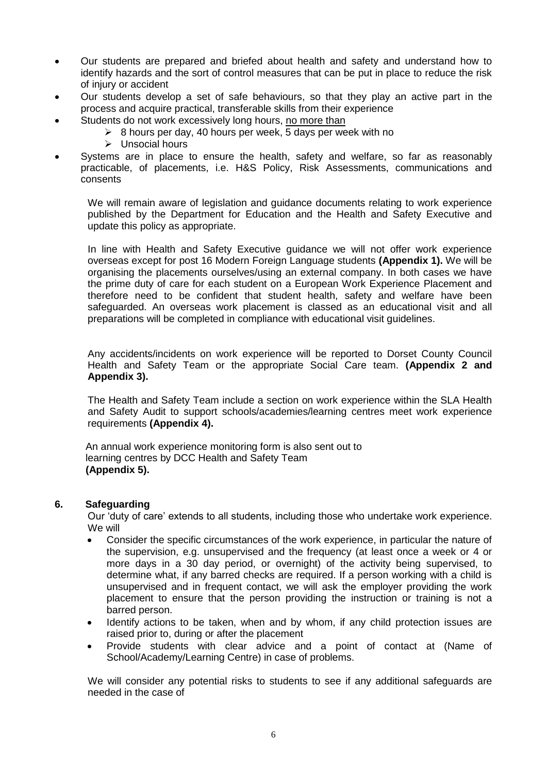- Our students are prepared and briefed about health and safety and understand how to identify hazards and the sort of control measures that can be put in place to reduce the risk of injury or accident
- Our students develop a set of safe behaviours, so that they play an active part in the process and acquire practical, transferable skills from their experience
- Students do not work excessively long hours, no more than
	- $\geq$  8 hours per day, 40 hours per week, 5 days per week with no
	- $\triangleright$  Unsocial hours
- Systems are in place to ensure the health, safety and welfare, so far as reasonably practicable, of placements, i.e. H&S Policy, Risk Assessments, communications and consents

We will remain aware of legislation and guidance documents relating to work experience published by the Department for Education and the Health and Safety Executive and update this policy as appropriate.

In line with Health and Safety Executive guidance we will not offer work experience overseas except for post 16 Modern Foreign Language students **(Appendix 1).** We will be organising the placements ourselves/using an external company. In both cases we have the prime duty of care for each student on a European Work Experience Placement and therefore need to be confident that student health, safety and welfare have been safeguarded. An overseas work placement is classed as an educational visit and all preparations will be completed in compliance with educational visit guidelines.

Any accidents/incidents on work experience will be reported to Dorset County Council Health and Safety Team or the appropriate Social Care team. **(Appendix 2 and Appendix 3).**

The Health and Safety Team include a section on work experience within the SLA Health and Safety Audit to support schools/academies/learning centres meet work experience requirements **(Appendix 4).**

 An annual work experience monitoring form is also sent out to learning centres by DCC Health and Safety Team **(Appendix 5).**

#### **6. Safeguarding**

Our 'duty of care' extends to all students, including those who undertake work experience. We will

- Consider the specific circumstances of the work experience, in particular the nature of the supervision, e.g. unsupervised and the frequency (at least once a week or 4 or more days in a 30 day period, or overnight) of the activity being supervised, to determine what, if any barred checks are required. If a person working with a child is unsupervised and in frequent contact, we will ask the employer providing the work placement to ensure that the person providing the instruction or training is not a barred person.
- Identify actions to be taken, when and by whom, if any child protection issues are raised prior to, during or after the placement
- Provide students with clear advice and a point of contact at (Name of School/Academy/Learning Centre) in case of problems.

We will consider any potential risks to students to see if any additional safeguards are needed in the case of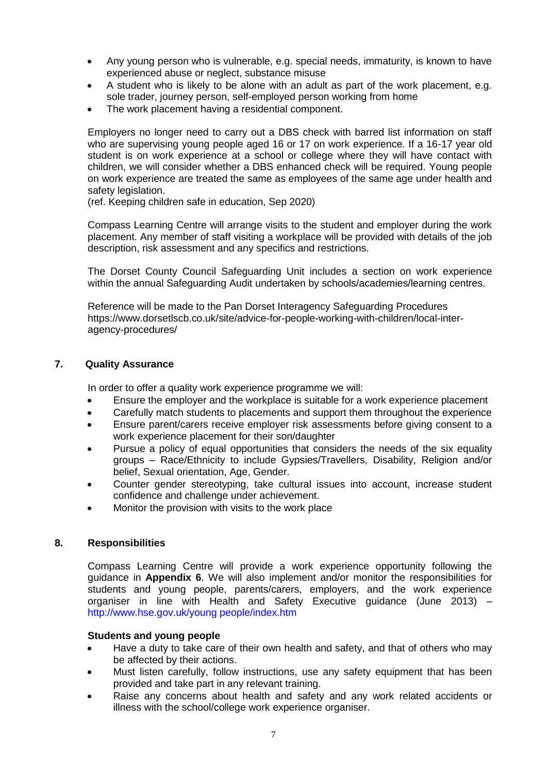- Any young person who is vulnerable, e.g. special needs, immaturity, is known to have experienced abuse or neglect, substance misuse
- A student who is likely to be alone with an adult as part of the work placement, e.g. sole trader, journey person, self-employed person working from home
- The work placement having a residential component.

Employers no longer need to carry out a DBS check with barred list information on staff who are supervising young people aged 16 or 17 on work experience. If a 16-17 year old student is on work experience at a school or college where they will have contact with children, we will consider whether a DBS enhanced check will be required. Young people on work experience are treated the same as employees of the same age under health and safety legislation.

(ref. Keeping children safe in education, Sep 2020)

Compass Learning Centre will arrange visits to the student and employer during the work placement. Any member of staff visiting a workplace will be provided with details of the job description, risk assessment and any specifics and restrictions.

The Dorset County Council Safeguarding Unit includes a section on work experience within the annual Safeguarding Audit undertaken by schools/academies/learning centres.

Reference will be made to the Pan Dorset Interagency Safeguarding Procedures https://www.dorsetlscb.co.uk/site/advice-for-people-working-with-children/local-interagency-procedures/

#### **7. Quality Assurance**

In order to offer a quality work experience programme we will:

- Ensure the employer and the workplace is suitable for a work experience placement
- Carefully match students to placements and support them throughout the experience
- Ensure parent/carers receive employer risk assessments before giving consent to a work experience placement for their son/daughter
- Pursue a policy of equal opportunities that considers the needs of the six equality groups – Race/Ethnicity to include Gypsies/Travellers, Disability, Religion and/or belief, Sexual orientation, Age, Gender.
- Counter gender stereotyping, take cultural issues into account, increase student confidence and challenge under achievement.
- Monitor the provision with visits to the work place

#### **8. Responsibilities**

Compass Learning Centre will provide a work experience opportunity following the guidance in **Appendix 6**. We will also implement and/or monitor the responsibilities for students and young people, parents/carers, employers, and the work experience organiser in line with Health and Safety Executive guidance (June 2013) – http://www.hse.gov.uk/young people/index.htm

#### **Students and young people**

- Have a duty to take care of their own health and safety, and that of others who may be affected by their actions.
- Must listen carefully, follow instructions, use any safety equipment that has been provided and take part in any relevant training.
- Raise any concerns about health and safety and any work related accidents or illness with the school/college work experience organiser.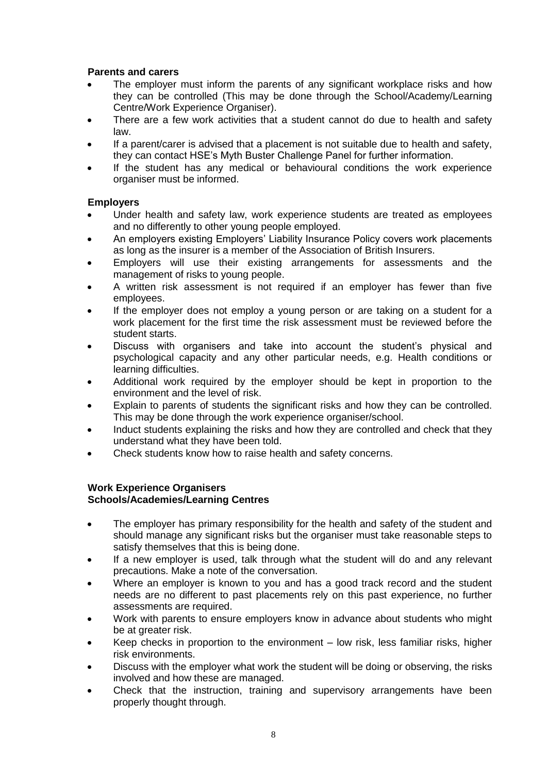#### **Parents and carers**

- The employer must inform the parents of any significant workplace risks and how they can be controlled (This may be done through the School/Academy/Learning Centre/Work Experience Organiser).
- There are a few work activities that a student cannot do due to health and safety law.
- If a parent/carer is advised that a placement is not suitable due to health and safety, they can contact HSE's Myth Buster Challenge Panel for further information.
- If the student has any medical or behavioural conditions the work experience organiser must be informed.

#### **Employers**

- Under health and safety law, work experience students are treated as employees and no differently to other young people employed.
- An employers existing Employers' Liability Insurance Policy covers work placements as long as the insurer is a member of the Association of British Insurers.
- Employers will use their existing arrangements for assessments and the management of risks to young people.
- A written risk assessment is not required if an employer has fewer than five employees.
- If the employer does not employ a young person or are taking on a student for a work placement for the first time the risk assessment must be reviewed before the student starts.
- Discuss with organisers and take into account the student's physical and psychological capacity and any other particular needs, e.g. Health conditions or learning difficulties.
- Additional work required by the employer should be kept in proportion to the environment and the level of risk.
- Explain to parents of students the significant risks and how they can be controlled. This may be done through the work experience organiser/school.
- Induct students explaining the risks and how they are controlled and check that they understand what they have been told.
- Check students know how to raise health and safety concerns.

#### **Work Experience Organisers**

#### **Schools/Academies/Learning Centres**

- The employer has primary responsibility for the health and safety of the student and should manage any significant risks but the organiser must take reasonable steps to satisfy themselves that this is being done.
- If a new employer is used, talk through what the student will do and any relevant precautions. Make a note of the conversation.
- Where an employer is known to you and has a good track record and the student needs are no different to past placements rely on this past experience, no further assessments are required.
- Work with parents to ensure employers know in advance about students who might be at greater risk.
- Keep checks in proportion to the environment low risk, less familiar risks, higher risk environments.
- Discuss with the employer what work the student will be doing or observing, the risks involved and how these are managed.
- Check that the instruction, training and supervisory arrangements have been properly thought through.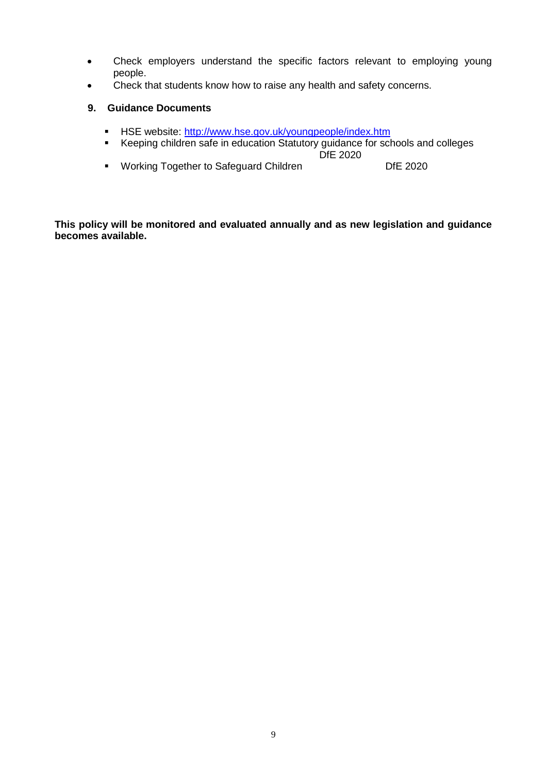- Check employers understand the specific factors relevant to employing young people.
- Check that students know how to raise any health and safety concerns.

#### **9. Guidance Documents**

- **HSE** website:<http://www.hse.gov.uk/youngpeople/index.htm>
- Keeping children safe in education Statutory guidance for schools and colleges
- DfE 2020 • Working Together to Safeguard Children **DIE 2020**

**This policy will be monitored and evaluated annually and as new legislation and guidance becomes available.**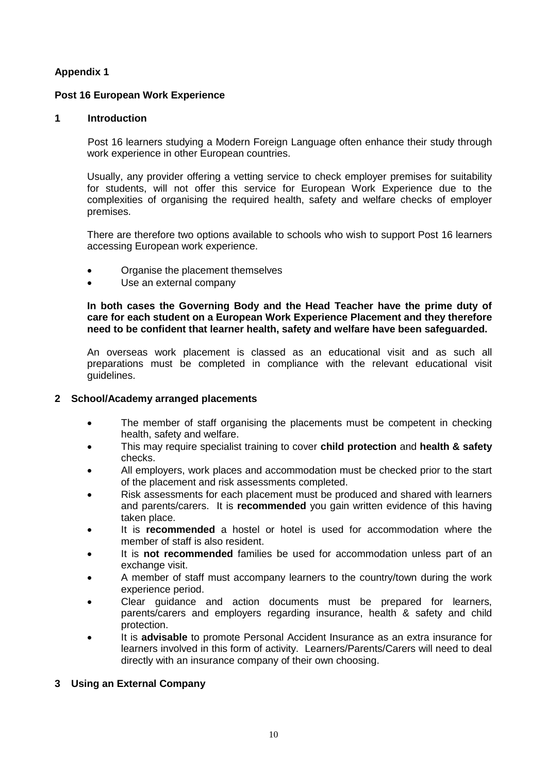#### **Post 16 European Work Experience**

#### **1 Introduction**

Post 16 learners studying a Modern Foreign Language often enhance their study through work experience in other European countries.

Usually, any provider offering a vetting service to check employer premises for suitability for students, will not offer this service for European Work Experience due to the complexities of organising the required health, safety and welfare checks of employer premises.

There are therefore two options available to schools who wish to support Post 16 learners accessing European work experience.

- Organise the placement themselves
- Use an external company

**In both cases the Governing Body and the Head Teacher have the prime duty of care for each student on a European Work Experience Placement and they therefore need to be confident that learner health, safety and welfare have been safeguarded.**

An overseas work placement is classed as an educational visit and as such all preparations must be completed in compliance with the relevant educational visit guidelines.

#### **2 School/Academy arranged placements**

- The member of staff organising the placements must be competent in checking health, safety and welfare.
- This may require specialist training to cover **child protection** and **health & safety** checks.
- All employers, work places and accommodation must be checked prior to the start of the placement and risk assessments completed.
- Risk assessments for each placement must be produced and shared with learners and parents/carers. It is **recommended** you gain written evidence of this having taken place.
- It is **recommended** a hostel or hotel is used for accommodation where the member of staff is also resident.
- It is **not recommended** families be used for accommodation unless part of an exchange visit.
- A member of staff must accompany learners to the country/town during the work experience period.
- Clear guidance and action documents must be prepared for learners, parents/carers and employers regarding insurance, health & safety and child protection.
- It is **advisable** to promote Personal Accident Insurance as an extra insurance for learners involved in this form of activity. Learners/Parents/Carers will need to deal directly with an insurance company of their own choosing.

#### **3 Using an External Company**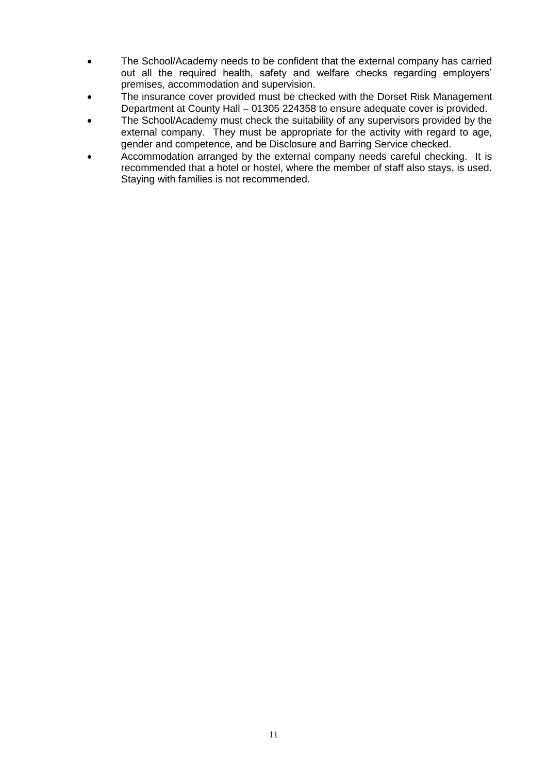- The School/Academy needs to be confident that the external company has carried out all the required health, safety and welfare checks regarding employers' premises, accommodation and supervision.
- The insurance cover provided must be checked with the Dorset Risk Management Department at County Hall – 01305 224358 to ensure adequate cover is provided.
- The School/Academy must check the suitability of any supervisors provided by the external company. They must be appropriate for the activity with regard to age, gender and competence, and be Disclosure and Barring Service checked.
- Accommodation arranged by the external company needs careful checking. It is recommended that a hotel or hostel, where the member of staff also stays, is used. Staying with families is not recommended.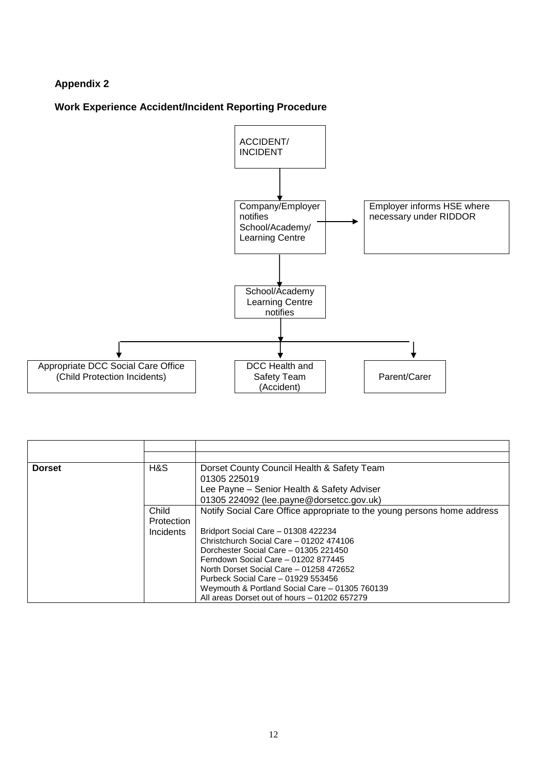#### **Work Experience Accident/Incident Reporting Procedure**



| <b>Dorset</b> | H&S        | Dorset County Council Health & Safety Team                                                                                                                                                                             |
|---------------|------------|------------------------------------------------------------------------------------------------------------------------------------------------------------------------------------------------------------------------|
|               |            | 01305 225019                                                                                                                                                                                                           |
|               |            | Lee Payne – Senior Health & Safety Adviser                                                                                                                                                                             |
|               |            | 01305 224092 (lee.payne@dorsetcc.gov.uk)                                                                                                                                                                               |
|               | Child      | Notify Social Care Office appropriate to the young persons home address                                                                                                                                                |
|               | Protection |                                                                                                                                                                                                                        |
|               | Incidents  | Bridport Social Care - 01308 422234                                                                                                                                                                                    |
|               |            | Christchurch Social Care - 01202 474106                                                                                                                                                                                |
|               |            | Dorchester Social Care - 01305 221450                                                                                                                                                                                  |
|               |            |                                                                                                                                                                                                                        |
|               |            |                                                                                                                                                                                                                        |
|               |            |                                                                                                                                                                                                                        |
|               |            |                                                                                                                                                                                                                        |
|               |            | Ferndown Social Care - 01202 877445<br>North Dorset Social Care - 01258 472652<br>Purbeck Social Care - 01929 553456<br>Weymouth & Portland Social Care - 01305 760139<br>All areas Dorset out of hours - 01202 657279 |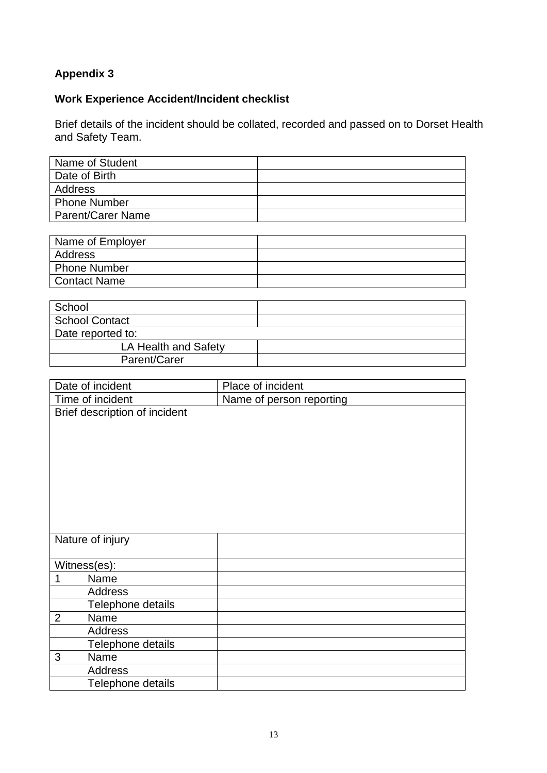#### **Work Experience Accident/Incident checklist**

Brief details of the incident should be collated, recorded and passed on to Dorset Health and Safety Team.

| Name of Student          |  |
|--------------------------|--|
| Date of Birth            |  |
| Address                  |  |
| <b>Phone Number</b>      |  |
| <b>Parent/Carer Name</b> |  |

| Name of Employer    |  |
|---------------------|--|
| Address             |  |
| <b>Phone Number</b> |  |
| <b>Contact Name</b> |  |
|                     |  |

| School                |  |  |
|-----------------------|--|--|
| <b>School Contact</b> |  |  |
| Date reported to:     |  |  |
| LA Health and Safety  |  |  |
| Parent/Carer          |  |  |

| Date of incident              | Place of incident        |  |  |
|-------------------------------|--------------------------|--|--|
| Time of incident              | Name of person reporting |  |  |
| Brief description of incident |                          |  |  |
|                               |                          |  |  |
|                               |                          |  |  |
|                               |                          |  |  |
|                               |                          |  |  |
|                               |                          |  |  |
|                               |                          |  |  |
|                               |                          |  |  |
|                               |                          |  |  |
| Nature of injury              |                          |  |  |
|                               |                          |  |  |
| Witness(es):                  |                          |  |  |
| Name<br>1                     |                          |  |  |
| <b>Address</b>                |                          |  |  |
| Telephone details             |                          |  |  |
| $\overline{2}$<br>Name        |                          |  |  |
| <b>Address</b>                |                          |  |  |
| Telephone details             |                          |  |  |
| 3<br>Name                     |                          |  |  |
| <b>Address</b>                |                          |  |  |
| Telephone details             |                          |  |  |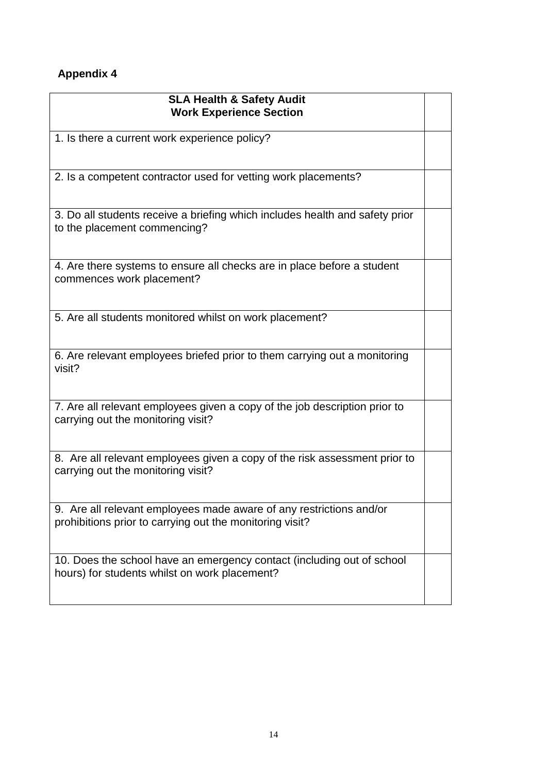| <b>SLA Health &amp; Safety Audit</b><br><b>Work Experience Section</b>                                                          |  |
|---------------------------------------------------------------------------------------------------------------------------------|--|
| 1. Is there a current work experience policy?                                                                                   |  |
| 2. Is a competent contractor used for vetting work placements?                                                                  |  |
| 3. Do all students receive a briefing which includes health and safety prior<br>to the placement commencing?                    |  |
| 4. Are there systems to ensure all checks are in place before a student<br>commences work placement?                            |  |
| 5. Are all students monitored whilst on work placement?                                                                         |  |
| 6. Are relevant employees briefed prior to them carrying out a monitoring<br>visit?                                             |  |
| 7. Are all relevant employees given a copy of the job description prior to<br>carrying out the monitoring visit?                |  |
| 8. Are all relevant employees given a copy of the risk assessment prior to<br>carrying out the monitoring visit?                |  |
| 9. Are all relevant employees made aware of any restrictions and/or<br>prohibitions prior to carrying out the monitoring visit? |  |
| 10. Does the school have an emergency contact (including out of school<br>hours) for students whilst on work placement?         |  |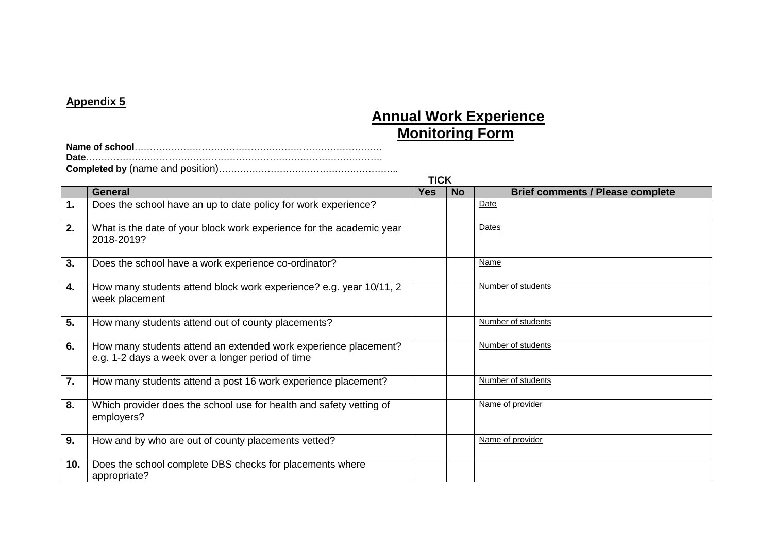## **Annual Work Experience Monitoring Form**

|     | <b>TICK</b>                                                                                                          |            |           |                                         |  |
|-----|----------------------------------------------------------------------------------------------------------------------|------------|-----------|-----------------------------------------|--|
|     | General                                                                                                              | <b>Yes</b> | <b>No</b> | <b>Brief comments / Please complete</b> |  |
| 1.  | Does the school have an up to date policy for work experience?                                                       |            |           | Date                                    |  |
| 2.  | What is the date of your block work experience for the academic year<br>2018-2019?                                   |            |           | Dates                                   |  |
| 3.  | Does the school have a work experience co-ordinator?                                                                 |            |           | Name                                    |  |
| 4.  | How many students attend block work experience? e.g. year 10/11, 2<br>week placement                                 |            |           | Number of students                      |  |
| 5.  | How many students attend out of county placements?                                                                   |            |           | Number of students                      |  |
| 6.  | How many students attend an extended work experience placement?<br>e.g. 1-2 days a week over a longer period of time |            |           | Number of students                      |  |
| 7.  | How many students attend a post 16 work experience placement?                                                        |            |           | Number of students                      |  |
| 8.  | Which provider does the school use for health and safety vetting of<br>employers?                                    |            |           | Name of provider                        |  |
| 9.  | How and by who are out of county placements vetted?                                                                  |            |           | Name of provider                        |  |
| 10. | Does the school complete DBS checks for placements where<br>appropriate?                                             |            |           |                                         |  |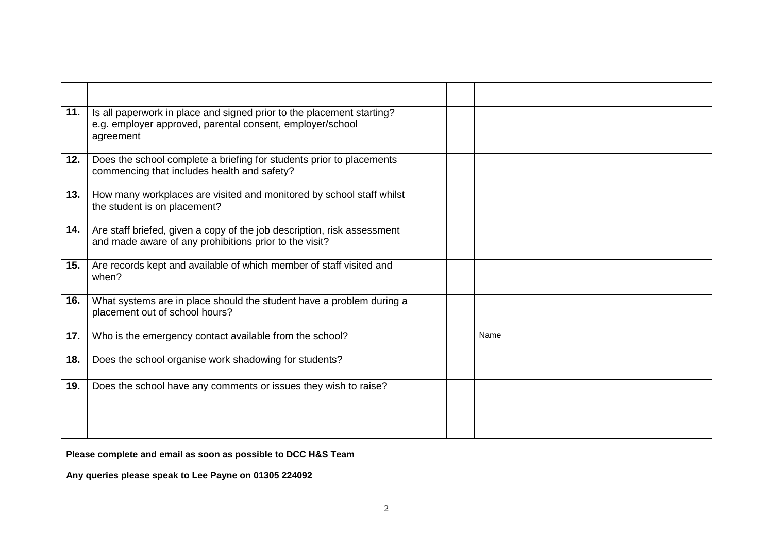| 11. | Is all paperwork in place and signed prior to the placement starting?<br>e.g. employer approved, parental consent, employer/school<br>agreement |  |      |
|-----|-------------------------------------------------------------------------------------------------------------------------------------------------|--|------|
| 12. | Does the school complete a briefing for students prior to placements<br>commencing that includes health and safety?                             |  |      |
| 13. | How many workplaces are visited and monitored by school staff whilst<br>the student is on placement?                                            |  |      |
| 14. | Are staff briefed, given a copy of the job description, risk assessment<br>and made aware of any prohibitions prior to the visit?               |  |      |
| 15. | Are records kept and available of which member of staff visited and<br>when?                                                                    |  |      |
| 16. | What systems are in place should the student have a problem during a<br>placement out of school hours?                                          |  |      |
| 17. | Who is the emergency contact available from the school?                                                                                         |  | Name |
| 18. | Does the school organise work shadowing for students?                                                                                           |  |      |
| 19. | Does the school have any comments or issues they wish to raise?                                                                                 |  |      |

**Please complete and email as soon as possible to DCC H&S Team** 

**Any queries please speak to Lee Payne on 01305 224092**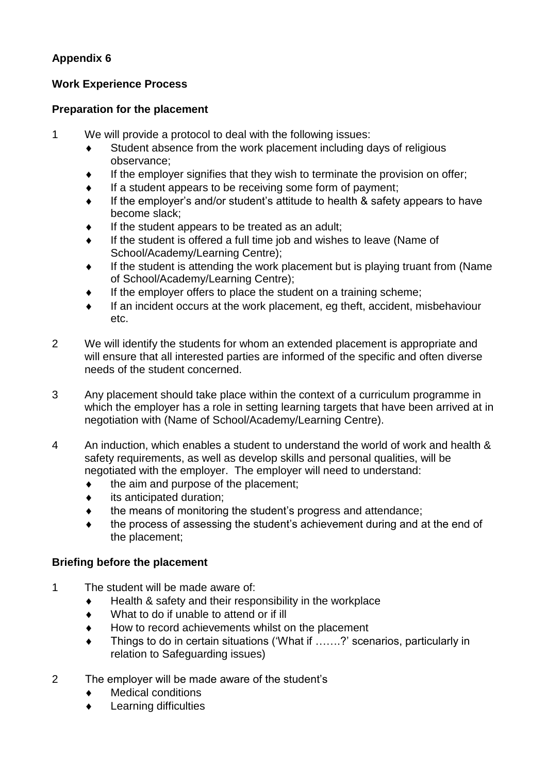#### **Work Experience Process**

#### **Preparation for the placement**

- 1 We will provide a protocol to deal with the following issues:
	- Student absence from the work placement including days of religious observance;
	- If the employer signifies that they wish to terminate the provision on offer;
	- If a student appears to be receiving some form of payment;
	- If the employer's and/or student's attitude to health & safety appears to have become slack;
	- If the student appears to be treated as an adult;
	- If the student is offered a full time job and wishes to leave (Name of School/Academy/Learning Centre);
	- $\bullet$  If the student is attending the work placement but is playing truant from (Name of School/Academy/Learning Centre);
	- If the employer offers to place the student on a training scheme;
	- If an incident occurs at the work placement, eg theft, accident, misbehaviour etc.
- 2 We will identify the students for whom an extended placement is appropriate and will ensure that all interested parties are informed of the specific and often diverse needs of the student concerned.
- 3 Any placement should take place within the context of a curriculum programme in which the employer has a role in setting learning targets that have been arrived at in negotiation with (Name of School/Academy/Learning Centre).
- 4 An induction, which enables a student to understand the world of work and health & safety requirements, as well as develop skills and personal qualities, will be negotiated with the employer. The employer will need to understand:
	- the aim and purpose of the placement;
	- $\bullet$  its anticipated duration;
	- $\bullet$  the means of monitoring the student's progress and attendance;
	- the process of assessing the student's achievement during and at the end of the placement;

#### **Briefing before the placement**

- 1 The student will be made aware of:
	- $\bullet$  Health & safety and their responsibility in the workplace
	- What to do if unable to attend or if ill
	- ◆ How to record achievements whilst on the placement
	- Things to do in certain situations ('What if …….?' scenarios, particularly in relation to Safeguarding issues)
- 2 The employer will be made aware of the student's
	- Medical conditions
	- Learning difficulties